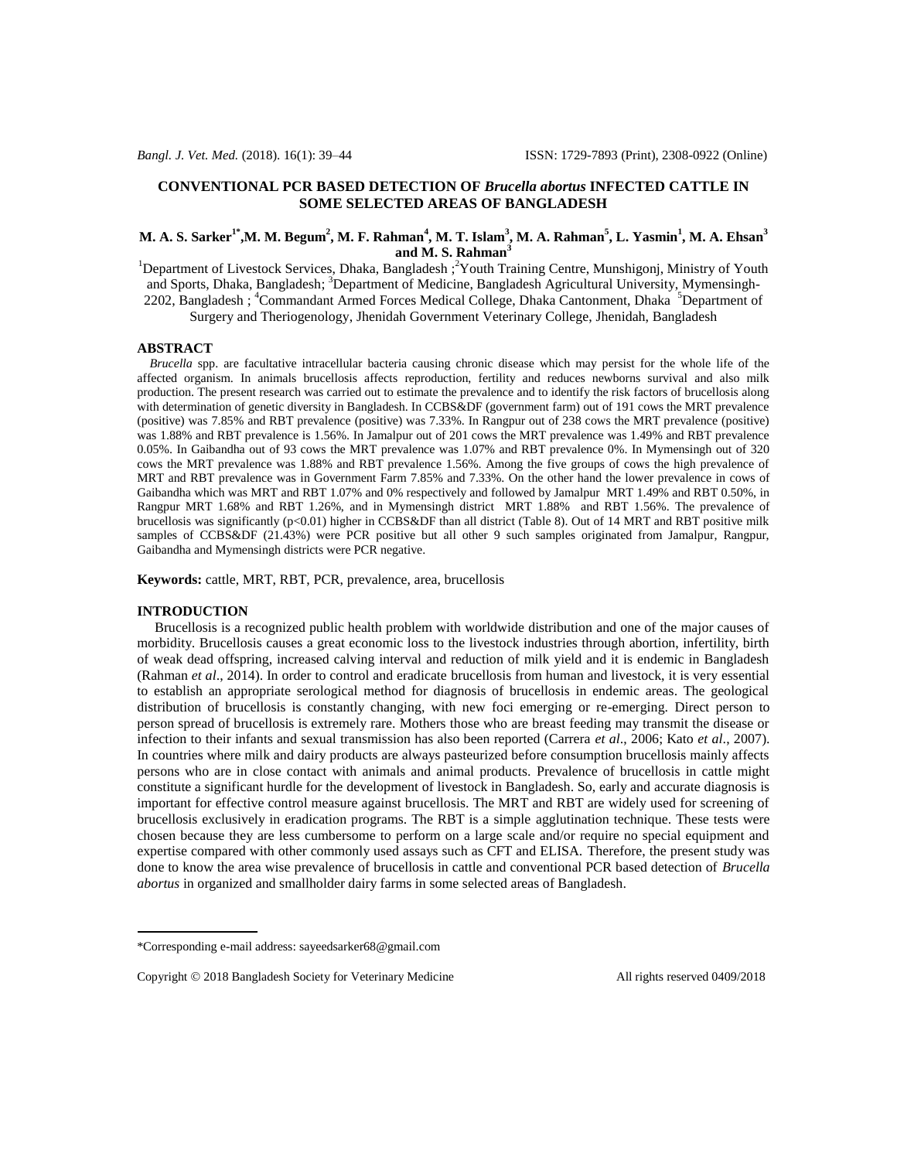# **CONVENTIONAL PCR BASED DETECTION OF** *Brucella abortus* **INFECTED CATTLE IN SOME SELECTED AREAS OF BANGLADESH**

# M. A. S. Sarker<sup>1\*</sup>,M. M. Begum<sup>2</sup>, M. F. Rahman<sup>4</sup>, M. T. Islam<sup>3</sup>, M. A. Rahman<sup>5</sup>, L. Yasmin<sup>1</sup>, M. A. Ehsan<sup>3</sup> **and M. S. Rahman<sup>3</sup>**

<sup>1</sup>Department of Livestock Services, Dhaka, Bangladesh;<sup>2</sup>Youth Training Centre, Munshigonj, Ministry of Youth and Sports, Dhaka, Bangladesh; <sup>3</sup>Department of Medicine, Bangladesh Agricultural University, Mymensingh-2202, Bangladesh ; <sup>4</sup>Commandant Armed Forces Medical College, Dhaka Cantonment, Dhaka <sup>5</sup>Department of Surgery and Theriogenology, Jhenidah Government Veterinary College, Jhenidah, Bangladesh

#### **ABSTRACT**

 *Brucella* spp. are facultative intracellular bacteria causing chronic disease which may persist for the whole life of the affected organism. In animals brucellosis affects reproduction, fertility and reduces newborns survival and also milk production. The present research was carried out to estimate the prevalence and to identify the risk factors of brucellosis along with determination of genetic diversity in Bangladesh. In CCBS&DF (government farm) out of 191 cows the MRT prevalence (positive) was 7.85% and RBT prevalence (positive) was 7.33%. In Rangpur out of 238 cows the MRT prevalence (positive) was 1.88% and RBT prevalence is 1.56%. In Jamalpur out of 201 cows the MRT prevalence was 1.49% and RBT prevalence 0.05%. In Gaibandha out of 93 cows the MRT prevalence was 1.07% and RBT prevalence 0%. In Mymensingh out of 320 cows the MRT prevalence was 1.88% and RBT prevalence 1.56%. Among the five groups of cows the high prevalence of MRT and RBT prevalence was in Government Farm 7.85% and 7.33%. On the other hand the lower prevalence in cows of Gaibandha which was MRT and RBT 1.07% and 0% respectively and followed by Jamalpur MRT 1.49% and RBT 0.50%, in Rangpur MRT 1.68% and RBT 1.26%, and in Mymensingh district MRT 1.88% and RBT 1.56%. The prevalence of brucellosis was significantly (p<0.01) higher in CCBS&DF than all district (Table 8). Out of 14 MRT and RBT positive milk samples of CCBS&DF (21.43%) were PCR positive but all other 9 such samples originated from Jamalpur, Rangpur, Gaibandha and Mymensingh districts were PCR negative.

**Keywords:** cattle, MRT, RBT, PCR, prevalence, area, brucellosis

# **INTRODUCTION**

 Brucellosis is a recognized public health problem with worldwide distribution and one of the major causes of morbidity. Brucellosis causes a great economic loss to the livestock industries through abortion, infertility, birth of weak dead offspring, increased calving interval and reduction of milk yield and it is endemic in Bangladesh (Rahman *et al*., 2014). In order to control and eradicate brucellosis from human and livestock, it is very essential to establish an appropriate serological method for diagnosis of brucellosis in endemic areas. The geological distribution of brucellosis is constantly changing, with new foci emerging or re-emerging. Direct person to person spread of brucellosis is extremely rare. Mothers those who are breast feeding may transmit the disease or infection to their infants and sexual transmission has also been reported (Carrera *et al*., 2006; Kato *et al*., 2007). In countries where milk and dairy products are always pasteurized before consumption brucellosis mainly affects persons who are in close contact with animals and animal products. Prevalence of brucellosis in cattle might constitute a significant hurdle for the development of livestock in Bangladesh. So, early and accurate diagnosis is important for effective control measure against brucellosis. The MRT and RBT are widely used for screening of brucellosis exclusively in eradication programs. The RBT is a simple agglutination technique. These tests were chosen because they are less cumbersome to perform on a large scale and/or require no special equipment and expertise compared with other commonly used assays such as CFT and ELISA. Therefore, the present study was done to know the area wise prevalence of brucellosis in cattle and conventional PCR based detection of *Brucella abortus* in organized and smallholder dairy farms in some selected areas of Bangladesh.

Copyright © 2018 Bangladesh Society for Veterinary Medicine All rights reserved 0409/2018

<sup>\*</sup>Corresponding e-mail address: sayeedsarker68@gmail.com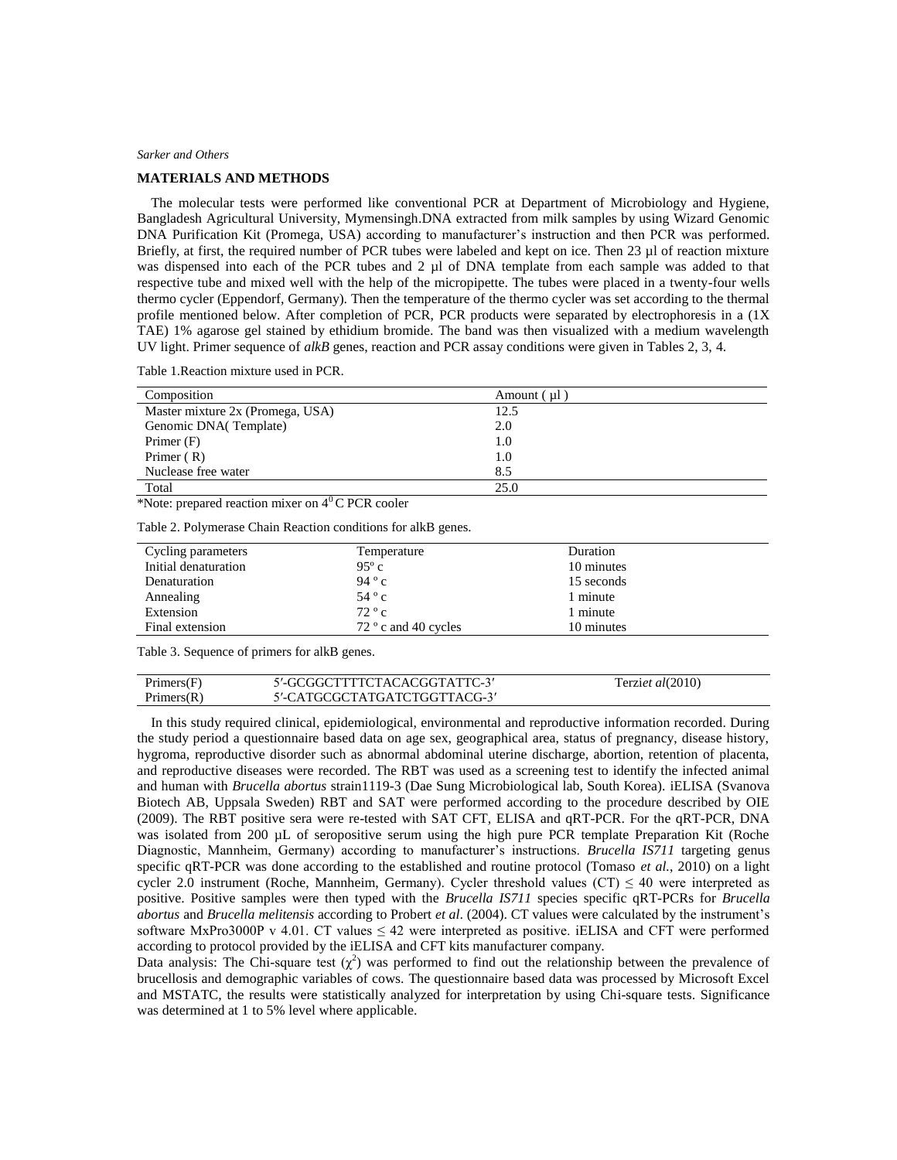*Sarker and Others*

### **MATERIALS AND METHODS**

 The molecular tests were performed like conventional PCR at Department of Microbiology and Hygiene, Bangladesh Agricultural University, Mymensingh.DNA extracted from milk samples by using Wizard Genomic DNA Purification Kit (Promega, USA) according to manufacturer's instruction and then PCR was performed. Briefly, at first, the required number of PCR tubes were labeled and kept on ice. Then 23 µl of reaction mixture was dispensed into each of the PCR tubes and 2 µl of DNA template from each sample was added to that respective tube and mixed well with the help of the micropipette. The tubes were placed in a twenty-four wells thermo cycler (Eppendorf, Germany). Then the temperature of the thermo cycler was set according to the thermal profile mentioned below. After completion of PCR, PCR products were separated by electrophoresis in a (1X TAE) 1% agarose gel stained by ethidium bromide. The band was then visualized with a medium wavelength UV light. Primer sequence of *alkB* genes, reaction and PCR assay conditions were given in Tables 2, 3, 4.

| Composition                                                | Amount (ul) |  |
|------------------------------------------------------------|-------------|--|
| Master mixture 2x (Promega, USA)                           | 12.5        |  |
| Genomic DNA(Template)                                      | 2.0         |  |
| Primer (F)                                                 | 1.0         |  |
| Primer $(R)$                                               | 1.0         |  |
| Nuclease free water                                        | 8.5         |  |
| Total                                                      | 25.0        |  |
| *Note: prepared reaction mixer on $4^{\circ}$ C PCR cooler |             |  |

Table 2. Polymerase Chain Reaction conditions for alkB genes.

| Cycling parameters   | Temperature            | Duration   |
|----------------------|------------------------|------------|
| Initial denaturation | $95^{\circ}$ c         | 10 minutes |
| Denaturation         | 94 ° c                 | 15 seconds |
| Annealing            | $54^{\circ}$ c         | 1 minute   |
| Extension            | $72^{\circ}c$          | 1 minute   |
| Final extension      | $72$ ° c and 40 cycles | 10 minutes |

Table 3. Sequence of primers for alkB genes.

| Primers(F) | 5'-GCGGCTTTTCTACACGGTATTC-3' | Terziet al(2010) |
|------------|------------------------------|------------------|
| Primers(R) | 5'-CATGCGCTATGATCTGGTTACG-3' |                  |

 In this study required clinical, epidemiological, environmental and reproductive information recorded. During the study period a questionnaire based data on age sex, geographical area, status of pregnancy, disease history, hygroma, reproductive disorder such as abnormal abdominal uterine discharge, abortion, retention of placenta, and reproductive diseases were recorded. The RBT was used as a screening test to identify the infected animal and human with *Brucella abortus* strain1119-3 (Dae Sung Microbiological lab, South Korea). iELISA (Svanova Biotech AB, Uppsala Sweden) RBT and SAT were performed according to the procedure described by OIE (2009). The RBT positive sera were re-tested with SAT CFT, ELISA and qRT-PCR. For the qRT-PCR, DNA was isolated from 200 µL of seropositive serum using the high pure PCR template Preparation Kit (Roche Diagnostic, Mannheim, Germany) according to manufacturer's instructions. *Brucella IS711* targeting genus specific qRT-PCR was done according to the established and routine protocol (Tomaso *et al.*, 2010) on a light cycler 2.0 instrument (Roche, Mannheim, Germany). Cycler threshold values (CT)  $\leq 40$  were interpreted as positive. Positive samples were then typed with the *Brucella IS711* species specific qRT-PCRs for *Brucella abortus* and *Brucella melitensis* according to Probert *et al*. (2004). CT values were calculated by the instrument's software MxPro3000P v 4.01. CT values  $\leq 42$  were interpreted as positive. iELISA and CFT were performed according to protocol provided by the iELISA and CFT kits manufacturer company.

Data analysis: The Chi-square test  $(\chi^2)$  was performed to find out the relationship between the prevalence of brucellosis and demographic variables of cows. The questionnaire based data was processed by Microsoft Excel and MSTATC, the results were statistically analyzed for interpretation by using Chi-square tests. Significance was determined at 1 to 5% level where applicable.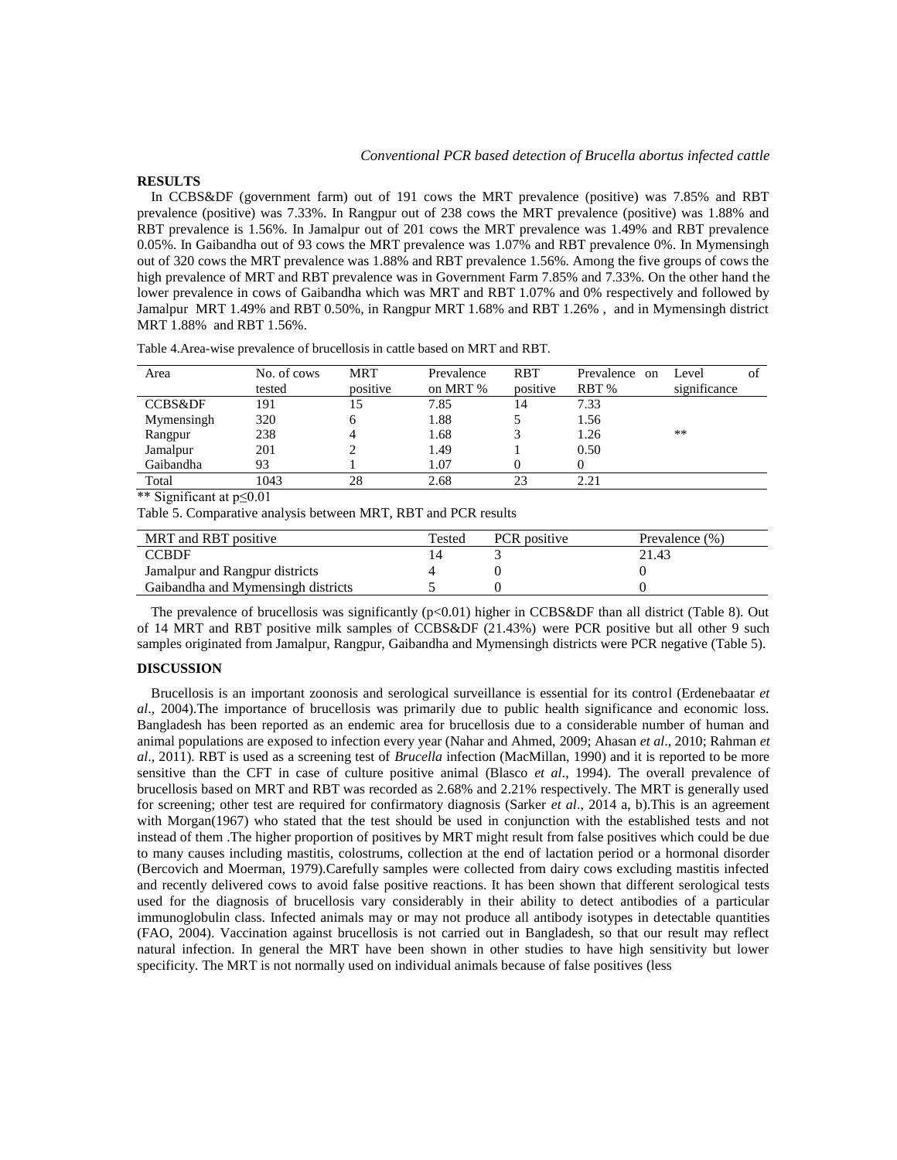## *Conventional PCR based detection of Brucella abortus infected cattle*

# **RESULTS**

 In CCBS&DF (government farm) out of 191 cows the MRT prevalence (positive) was 7.85% and RBT prevalence (positive) was 7.33%. In Rangpur out of 238 cows the MRT prevalence (positive) was 1.88% and RBT prevalence is 1.56%. In Jamalpur out of 201 cows the MRT prevalence was 1.49% and RBT prevalence 0.05%. In Gaibandha out of 93 cows the MRT prevalence was 1.07% and RBT prevalence 0%. In Mymensingh out of 320 cows the MRT prevalence was 1.88% and RBT prevalence 1.56%. Among the five groups of cows the high prevalence of MRT and RBT prevalence was in Government Farm 7.85% and 7.33%. On the other hand the lower prevalence in cows of Gaibandha which was MRT and RBT 1.07% and 0% respectively and followed by Jamalpur MRT 1.49% and RBT 0.50%, in Rangpur MRT 1.68% and RBT 1.26% , and in Mymensingh district MRT 1.88% and RBT 1.56%.

| Area                                                           | No. of cows<br>tested | <b>MRT</b><br>positive | Prevalence<br>on MRT % | <b>RBT</b><br>positive | Prevalence on<br>RBT% | Level<br>significance | of |
|----------------------------------------------------------------|-----------------------|------------------------|------------------------|------------------------|-----------------------|-----------------------|----|
| CCBS&DF                                                        | 191                   | 15                     | 7.85                   | 14                     | 7.33                  |                       |    |
| Mymensingh                                                     | 320                   | 6                      | 1.88                   |                        | 1.56                  |                       |    |
| Rangpur                                                        | 238                   | 4                      | 1.68                   |                        | 1.26                  | **                    |    |
| Jamalpur                                                       | 201                   |                        | 1.49                   |                        | 0.50                  |                       |    |
| Gaibandha                                                      | 93                    |                        | 1.07                   |                        |                       |                       |    |
| Total                                                          | 1043                  | 28                     | 2.68                   | 23                     | 2.21                  |                       |    |
| ** Significant at $p \le 0.01$                                 |                       |                        |                        |                        |                       |                       |    |
| Table 5. Comparative analysis between MRT, RBT and PCR results |                       |                        |                        |                        |                       |                       |    |

Table 4.Area-wise prevalence of brucellosis in cattle based on MRT and RBT.

MRT and RBT positive Tested PCR positive Prevalence (%) CCBDF  $14$  3 21.43 Jamalpur and Rangpur districts  $4 \qquad 0 \qquad 0$ Gaibandha and Mymensingh districts 5 0 0

The prevalence of brucellosis was significantly  $(p<0.01)$  higher in CCBS&DF than all district (Table 8). Out of 14 MRT and RBT positive milk samples of CCBS&DF (21.43%) were PCR positive but all other 9 such samples originated from Jamalpur, Rangpur, Gaibandha and Mymensingh districts were PCR negative (Table 5).

## **DISCUSSION**

 Brucellosis is an important zoonosis and serological surveillance is essential for its control (Erdenebaatar *et al*., 2004).The importance of brucellosis was primarily due to public health significance and economic loss. Bangladesh has been reported as an endemic area for brucellosis due to a considerable number of human and animal populations are exposed to infection every year (Nahar and Ahmed, 2009; Ahasan *et al*., 2010; Rahman *et al*., 2011). RBT is used as a screening test of *Brucella* infection (MacMillan, 1990) and it is reported to be more sensitive than the CFT in case of culture positive animal (Blasco *et al*., 1994). The overall prevalence of brucellosis based on MRT and RBT was recorded as 2.68% and 2.21% respectively. The MRT is generally used for screening; other test are required for confirmatory diagnosis (Sarker *et al*., 2014 a, b).This is an agreement with Morgan(1967) who stated that the test should be used in conjunction with the established tests and not instead of them .The higher proportion of positives by MRT might result from false positives which could be due to many causes including mastitis, colostrums, collection at the end of lactation period or a hormonal disorder (Bercovich and Moerman, 1979).Carefully samples were collected from dairy cows excluding mastitis infected and recently delivered cows to avoid false positive reactions. It has been shown that different serological tests used for the diagnosis of brucellosis vary considerably in their ability to detect antibodies of a particular immunoglobulin class. Infected animals may or may not produce all antibody isotypes in detectable quantities (FAO, 2004). Vaccination against brucellosis is not carried out in Bangladesh, so that our result may reflect natural infection. In general the MRT have been shown in other studies to have high sensitivity but lower specificity. The MRT is not normally used on individual animals because of false positives (less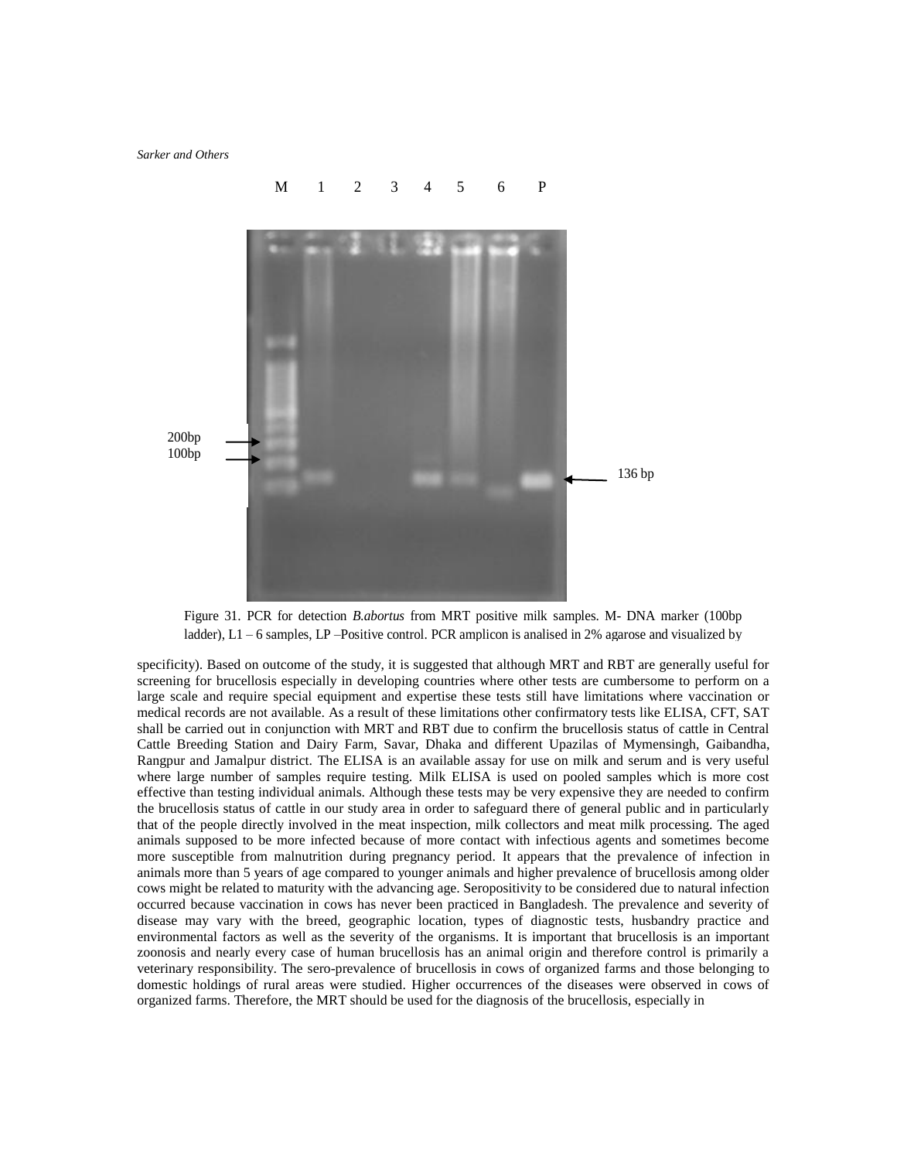*Sarker and Others*



Figure 31. PCR for detection *B.abortus* from MRT positive milk samples. M- DNA marker (100bp ladder), L1 – 6 samples, LP –Positive control. PCR amplicon is analised in 2% agarose and visualized by

specificity). Based on outcome of the study, it is suggested that although MRT and RBT are generally useful for screening for brucellosis especially in developing countries where other tests are cumbersome to perform on a large scale and require special equipment and expertise these tests still have limitations where vaccination or medical records are not available. As a result of these limitations other confirmatory tests like ELISA, CFT, SAT shall be carried out in conjunction with MRT and RBT due to confirm the brucellosis status of cattle in Central Cattle Breeding Station and Dairy Farm, Savar, Dhaka and different Upazilas of Mymensingh, Gaibandha, Rangpur and Jamalpur district. The ELISA is an available assay for use on milk and serum and is very useful where large number of samples require testing. Milk ELISA is used on pooled samples which is more cost effective than testing individual animals. Although these tests may be very expensive they are needed to confirm the brucellosis status of cattle in our study area in order to safeguard there of general public and in particularly that of the people directly involved in the meat inspection, milk collectors and meat milk processing. The aged animals supposed to be more infected because of more contact with infectious agents and sometimes become more susceptible from malnutrition during pregnancy period. It appears that the prevalence of infection in animals more than 5 years of age compared to younger animals and higher prevalence of brucellosis among older cows might be related to maturity with the advancing age. Seropositivity to be considered due to natural infection occurred because vaccination in cows has never been practiced in Bangladesh. The prevalence and severity of disease may vary with the breed, geographic location, types of diagnostic tests, husbandry practice and environmental factors as well as the severity of the organisms. It is important that brucellosis is an important zoonosis and nearly every case of human brucellosis has an animal origin and therefore control is primarily a veterinary responsibility. The sero-prevalence of brucellosis in cows of organized farms and those belonging to domestic holdings of rural areas were studied. Higher occurrences of the diseases were observed in cows of organized farms. Therefore, the MRT should be used for the diagnosis of the brucellosis, especially in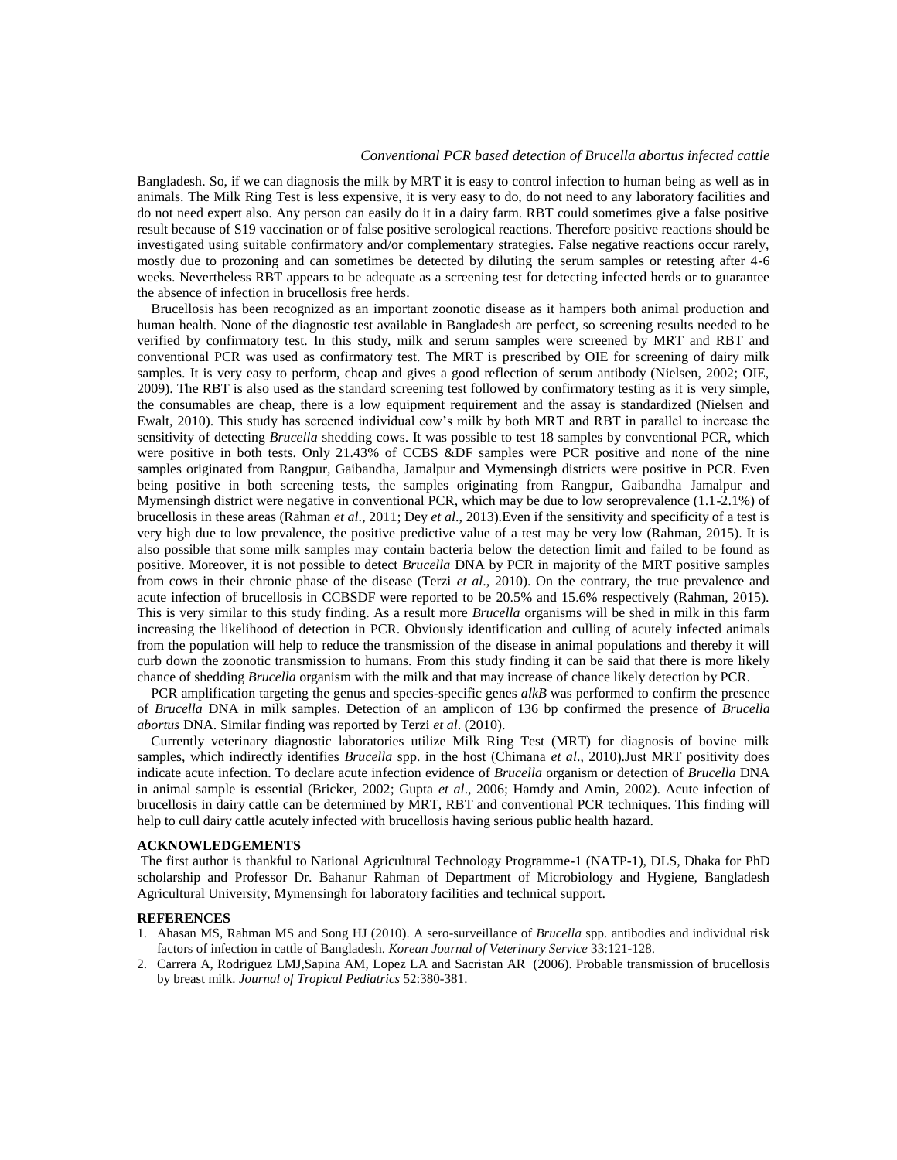## *Conventional PCR based detection of Brucella abortus infected cattle*

Bangladesh. So, if we can diagnosis the milk by MRT it is easy to control infection to human being as well as in animals. The Milk Ring Test is less expensive, it is very easy to do, do not need to any laboratory facilities and do not need expert also. Any person can easily do it in a dairy farm. RBT could sometimes give a false positive result because of S19 vaccination or of false positive serological reactions. Therefore positive reactions should be investigated using suitable confirmatory and/or complementary strategies. False negative reactions occur rarely, mostly due to prozoning and can sometimes be detected by diluting the serum samples or retesting after 4-6 weeks. Nevertheless RBT appears to be adequate as a screening test for detecting infected herds or to guarantee the absence of infection in brucellosis free herds.

 Brucellosis has been recognized as an important zoonotic disease as it hampers both animal production and human health. None of the diagnostic test available in Bangladesh are perfect, so screening results needed to be verified by confirmatory test. In this study, milk and serum samples were screened by MRT and RBT and conventional PCR was used as confirmatory test. The MRT is prescribed by OIE for screening of dairy milk samples. It is very easy to perform, cheap and gives a good reflection of serum antibody (Nielsen, 2002; OIE, 2009). The RBT is also used as the standard screening test followed by confirmatory testing as it is very simple, the consumables are cheap, there is a low equipment requirement and the assay is standardized (Nielsen and Ewalt, 2010). This study has screened individual cow's milk by both MRT and RBT in parallel to increase the sensitivity of detecting *Brucella* shedding cows. It was possible to test 18 samples by conventional PCR, which were positive in both tests. Only 21.43% of CCBS &DF samples were PCR positive and none of the nine samples originated from Rangpur, Gaibandha, Jamalpur and Mymensingh districts were positive in PCR. Even being positive in both screening tests, the samples originating from Rangpur, Gaibandha Jamalpur and Mymensingh district were negative in conventional PCR, which may be due to low seroprevalence (1.1-2.1%) of brucellosis in these areas (Rahman *et al*., 2011; Dey *et al*., 2013).Even if the sensitivity and specificity of a test is very high due to low prevalence, the positive predictive value of a test may be very low (Rahman, 2015). It is also possible that some milk samples may contain bacteria below the detection limit and failed to be found as positive. Moreover, it is not possible to detect *Brucella* DNA by PCR in majority of the MRT positive samples from cows in their chronic phase of the disease (Terzi *et al*., 2010). On the contrary, the true prevalence and acute infection of brucellosis in CCBSDF were reported to be 20.5% and 15.6% respectively (Rahman, 2015). This is very similar to this study finding. As a result more *Brucella* organisms will be shed in milk in this farm increasing the likelihood of detection in PCR. Obviously identification and culling of acutely infected animals from the population will help to reduce the transmission of the disease in animal populations and thereby it will curb down the zoonotic transmission to humans. From this study finding it can be said that there is more likely chance of shedding *Brucella* organism with the milk and that may increase of chance likely detection by PCR.

 PCR amplification targeting the genus and species-specific genes *alkB* was performed to confirm the presence of *Brucella* DNA in milk samples. Detection of an amplicon of 136 bp confirmed the presence of *Brucella abortus* DNA. Similar finding was reported by Terzi *et al*. (2010).

 Currently veterinary diagnostic laboratories utilize Milk Ring Test (MRT) for diagnosis of bovine milk samples, which indirectly identifies *Brucella* spp. in the host (Chimana *et al*., 2010).Just MRT positivity does indicate acute infection. To declare acute infection evidence of *Brucella* organism or detection of *Brucella* DNA in animal sample is essential (Bricker, 2002; Gupta *et al*., 2006; Hamdy and Amin, 2002). Acute infection of brucellosis in dairy cattle can be determined by MRT, RBT and conventional PCR techniques. This finding will help to cull dairy cattle acutely infected with brucellosis having serious public health hazard.

#### **ACKNOWLEDGEMENTS**

The first author is thankful to National Agricultural Technology Programme-1 (NATP-1), DLS, Dhaka for PhD scholarship and Professor Dr. Bahanur Rahman of Department of Microbiology and Hygiene, Bangladesh Agricultural University, Mymensingh for laboratory facilities and technical support.

# **REFERENCES**

- 1. Ahasan MS, Rahman MS and Song HJ (2010). A sero-surveillance of *Brucella* spp. antibodies and individual risk factors of infection in cattle of Bangladesh. *Korean Journal of Veterinary Service* 33:121-128.
- 2. Carrera A, Rodriguez LMJ,Sapina AM, Lopez LA and Sacristan AR (2006). Probable transmission of brucellosis by breast milk. *Journal of Tropical Pediatrics* 52:380-381.